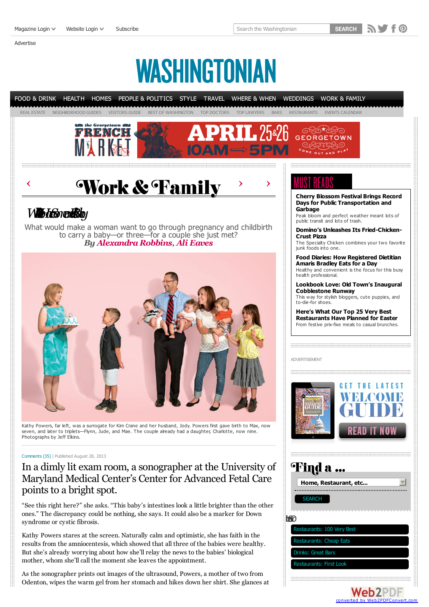[Magazine](javascript:void(0);) Login  $\vee$  [Website](javascript:void(0);) Login  $\vee$  [Subscribe](https://www.washingtonian.com/magazine/subscribe/?src=header)

[Advertise](http://www.washingtonian.com/advertise/)

Search the Washingtonian

**SEARCH** NV F @

WASHINGTONIAN



Kathy Powers, far left, was a surrogate for Kim Crane and her husband, Jody. Powers first gave birth to Max, now seven, and later to triplets—Flynn, Jude, and Mae. The couple already had a daughter, Charlotte, now nine. Photographs by Jeff Elkins.

### [Comments](#page-2-0) (35) | Published August 28, 2013

## In a dimly lit exam room, a sonographer at the University of Maryland Medical Center's Center for Advanced Fetal Care points to a bright spot.

station in the oriental state of the state of the state of the state of the state of the state of the state of the state of the state of the state of the state of the state of the state of the state of the state of the sta "See this right here?" she asks. "This baby's intestines look a little brighter than the other ones." The discrepancy could be nothing, she says. It could also be a marker for Down syndrome or cystic fibrosis.

Kathy Powers stares at the screen. Naturally calm and optimistic, she has faith in the results from the amniocentesis, which showed that all three of the babies were healthy. But she's already worrying about how she'll relay the news to the babies' biological mother, whom she'll call the moment she leaves the appointment.

As the sonographer prints out images of the ultrasound, Powers, a mother of two from Odenton, wipes the warm gel from her stomach and hikes down her shirt. She glances at **Cherry Blossom Festival Brings Record**

The Specialty Chicken combines your two favorite

**Food Diaries: How [Registered](http://www.washingtonian.com/blogs/wellbeing/food-diaries/food-diaries-how-registered-dietitian-amaris-bradley-eats-for-a-day.php) Dietitian** Healthy and convenient is the focus for this busy

**Lookbook Love: Old Town's Inaugural** This way for stylish bloggers, cute puppies, and

**[Restaurants](http://www.washingtonian.com/blogs/bestbites/things-to-know/heres-what-our-top-25-very-best-restaurants-have-planned-for-easter.php) Have Planned for Easter** From festive prix-fixe meals to casual brunches.



# Find a ...

|   | Home, Restaurant, etc          |
|---|--------------------------------|
|   |                                |
|   | <b>SEARCH</b>                  |
|   |                                |
| Ħ |                                |
|   | Restaurants: 100 Very Best     |
|   | <b>Restaurants: Cheap Eats</b> |
|   | <b>Drinks: Great Bars</b>      |
|   | <b>Restaurants: First Look</b> |

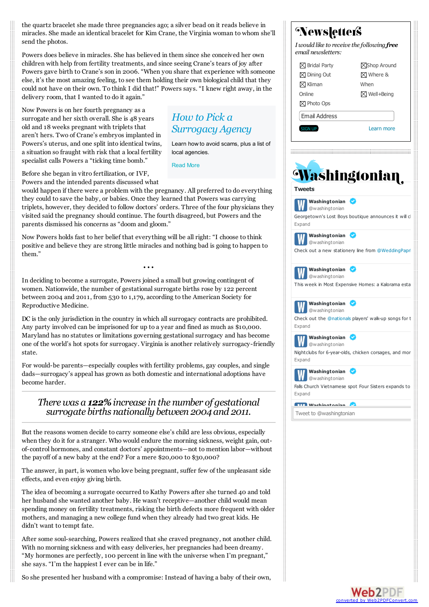the quartz bracelet she made three pregnancies ago; a silver bead on it reads believe in miracles. She made an identical bracelet for Kim Crane, the Virginia woman to whom she'll send the photos.

Powers does believe in miracles. She has believed in them since she conceived her own children with help from fertility treatments, and since seeing Crane's tears of joy after Powers gave birth to Crane's son in 2006. "When you share that experience with someone else, it's the most amazing feeling, to see them holding their own biological child that they could not have on their own. To think I did that!" Powers says. "I knew right away, in the delivery room, that I wanted to do it again."

*How to Pick a*

local agencies. [Read](http://www.washingtonian.com/articles/work-education/how-to-pick-a-surrogacy-agency/index.php) More

*Surrogacy Agency*

Learn how to avoid scams, plus a list of

Now Powers is on her fourth pregnancy as a surrogate and her sixth overall. She is 48 years old and 18 weeks pregnant with triplets that aren't hers. Two of Crane's embryos implanted in Powers's uterus, and one split into identical twins, a situation so fraught with risk that a local fertility specialist calls Powers a "ticking time bomb."

Before she began in vitro fertilization, or IVF, Powers and the intended parents discussed what

would happen if there were a problem with the pregnancy. All preferred to do everything they could to save the baby, or babies. Once they learned that Powers was carrying triplets, however, they decided to follow doctors' orders. Three of the four physicians they visited said the pregnancy should continue. The fourth disagreed, but Powers and the parents dismissed his concerns as "doom and gloom."

Now Powers holds fast to her belief that everything will be all right: "I choose to think positive and believe they are strong little miracles and nothing bad is going to happen to them."

• • •

In deciding to become a surrogate, Powers joined a small but growing contingent of women. Nationwide, the number of gestational surrogate births rose by 122 percent between 2004 and 2011, from 530 to 1,179, according to the American Society for Reproductive Medicine.

DC is the only jurisdiction in the country in which all surrogacy contracts are prohibited. Any party involved can be imprisoned for up to a year and fined as much as \$10,000. Maryland has no statutes or limitations governing gestational surrogacy and has become one of the world's hot spots for surrogacy. Virginia is another relatively surrogacy-friendly state.

For would-be parents—especially couples with fertility problems, gay couples, and single dads—surrogacy's appeal has grown as both domestic and international adoptions have become harder.

## *Therewas a 122%increase in the number of gestational surrogate births nationally between 2004 and 2011.*

But the reasons women decide to carry someone else's child are less obvious, especially when they do it for a stranger. Who would endure the morning sickness, weight gain, outof-control hormones, and constant doctors' appointments—not to mention labor—without the payoff of a new baby at the end? For a mere \$20,000 to \$30,000?

The answer, in part, is women who love being pregnant, suffer few of the unpleasant side effects, and even enjoy giving birth.

The idea of becoming a surrogate occurred to Kathy Powers after she turned 40 and told her husband she wanted another baby. He wasn't receptive—another child would mean spending money on fertility treatments, risking the birth defects more frequent with older mothers, and managing a new college fund when they already had two great kids. He didn't want to tempt fate.

After some soul-searching, Powers realized that she craved pregnancy, not another child. With no morning sickness and with easy deliveries, her pregnancies had been dreamy. "My hormones are perfectly, 100 percent in line with the universe when I'm pregnant," she says. "I'm the happiest I ever can be in life."

So she presented her husband with a compromise: Instead of having a baby of their own,



**Web2PDF** converted by [Web2PDFConvert.com](http://www.web2pdfconvert.com?ref=PDF)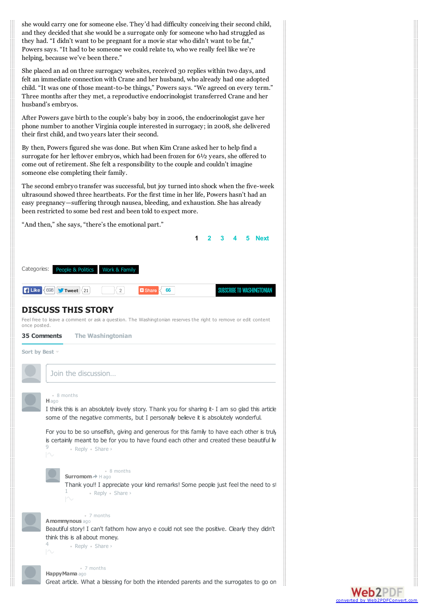she would carry one for someone else. They'd had difficulty conceiving their second child, and they decided that she would be a surrogate only for someone who had struggled as they had. "I didn't want to be pregnant for a movie star who didn't want to be fat," Powers says. "It had to be someone we could relate to, who we really feel like we're helping, because we've been there."

She placed an ad on three surrogacy websites, received 30 replies within two days, and felt an immediate connection with Crane and her husband, who already had one adopted child. "It was one of those meant-to-be things," Powers says. "We agreed on every term." Three months after they met, a reproductive endocrinologist transferred Crane and her husband's embryos.

After Powers gave birth to the couple's baby boy in 2006, the endocrinologist gave her phone number to another Virginia couple interested in surrogacy; in 2008, she delivered their first child, and two years later their second.

By then, Powers figured she was done. But when Kim Crane asked her to help find a surrogate for her leftover embryos, which had been frozen for 6½ years, she offered to come out of retirement. She felt a responsibility to the couple and couldn't imagine someone else completing their family.

The second embryo transfer was successful, but joy turned into shock when the five-week ultrasound showed three heartbeats. For the first time in her life, Powers hasn't had an easy pregnancy—suffering through nausea, bleeding, and exhaustion. She has already been restricted to some bed rest and been told to expect more.

<span id="page-2-0"></span>

Great article. What a blessing for both the intended parents and the surrogates to go on

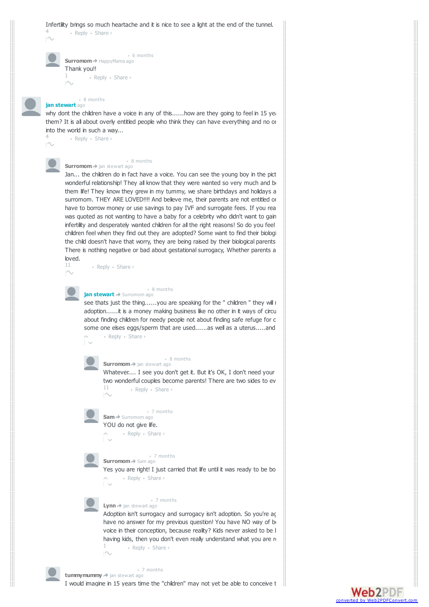#### <span id="page-3-0"></span>Infertility brings so much heartache and it is nice to see a light at the end of the tunnel. 4

• Reply • Share ›

• Reply • Share › **Surromom** HappyMama ago • 6 months Thank you!! 1

#### **jan stewart** ago • 8 months

why dont the children have a voice in any of this......how are they going to feel in 15 years them? It is all about overly entitled people who think they can have everything and no on into the world in such a way...

• Reply • Share › 4

#### **Surromom** jan stewart ago • 8 months

Jan... the children do in fact have a voice. You can see the young boy in the pict wonderful relationship! They all know that they were wanted so very much and b them life! They know they grew in my tummy, we share birthdays and holidays a surromom. THEY ARE LOVED!!!! And believe me, their parents are not entitled or have to borrow money or use savings to pay IVF and surrogate fees. If you rea was quoted as not wanting to have a baby for a celebrity who didn't want to gain infertility and desperately wanted children for all the right reasons! So do you feel children feel when they find out they are adopted? Some want to find their biologi the child doesn't have that worry, they are being raised by their biological parents. There is nothing negative or bad about gestational surrogacy, Whether parents a loved.

• Reply • Share › 11

#### **jan stewart** Surromom ago • 8 months

• Reply • Share › see thats just the thing......you are speaking for the " children " they will i adoption......it is a money making business like no other in it ways of circu about finding children for needy people not about finding safe refuge for c some one elses eggs/sperm that are used......as well as a uterus.....and



#### **Surromom** jan stewart ago • 8 months

Whatever.... I see you don't get it. But it's OK, I don't need your two wonderful couples become parents! There are two sides to ev 11 • Reply • Share ›  $N$ 



#### **Sam** Surromom ago • 7 months

• Reply • Share › YOU do not give life.

#### **Surromom** Sam ago • 7 months

• Reply • Share › Yes you are right! I just carried that life until it was ready to be bo

#### **Lynn** → jan stewart ago • 7 months

• Reply • Share › Adoption isn't surrogacy and surrogacy isn't adoption. So you're ag have no answer for my previous question! You have NO way of being able to state that a voice in their conception, because reality? Kids never asked to be l having kids, then you don't even really understand what you are n 1

converte

Web2PDF

#### **tummymummy** jan stewart ago • 7 months

I would imagine in 15 years time the "children" may not yet be able to conceive the lengths the lengths the lengths to for them.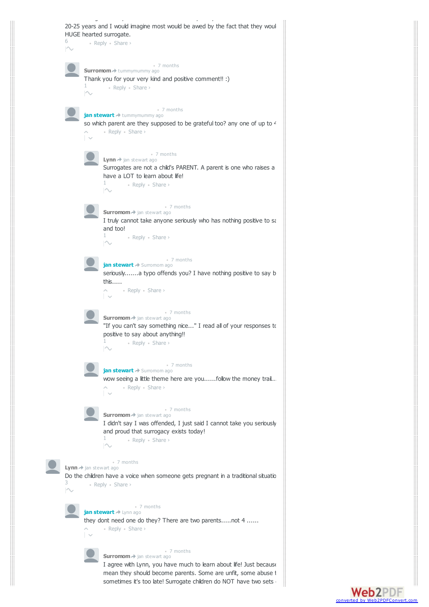

 $\sf Web2PDF$ converted by Web2PDFCon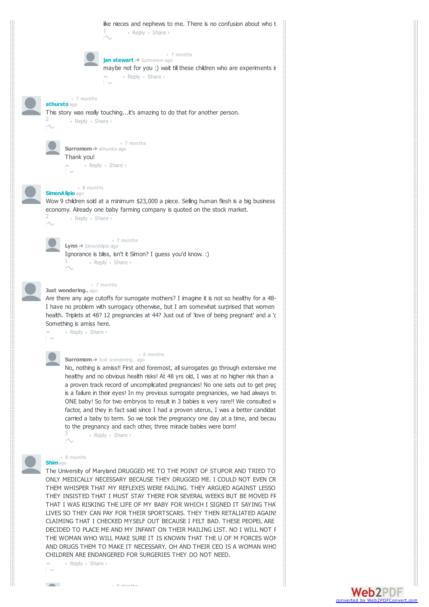

Web2PDF converted by [Web2PDFConvert.com](http://www.web2pdfconvert.com?ref=PDF)

• 8 months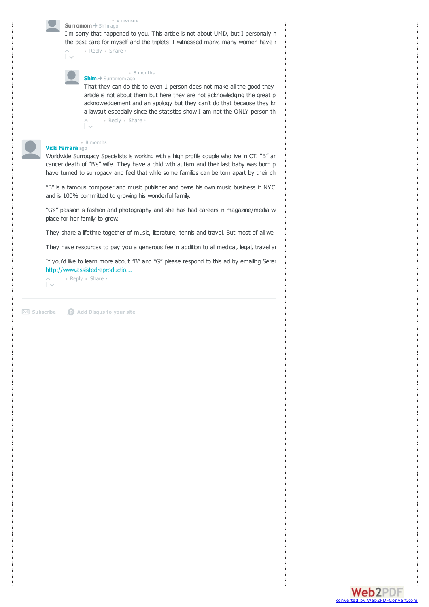

#### **Surromom** Shim ago • 8 months

• Reply • Share › I'm sorry that happened to you. This article is not about UMD, but I personally h the best care for myself and the triplets! I witnessed many, many women have r

**Shim** Surromom ago • 8 months

• Reply • Share › That they can do this to even 1 person does not make all the good they article is not about them but here they are not acknowledging the great pain the acknowledgement and an apology but they can't do that because they kr a lawsuit especially since the statistics show I am not the ONLY person th

#### **Vicki Ferrara** ago • 8 months

Worldwide Surrogacy Specialists is working with a high profile couple who live in CT. "B" ard cancer death of "B's" wife. They have a child with autism and their last baby was born p have turned to surrogacy and feel that while some families can be torn apart by their ch

"B" is a famous composer and music publisher and owns his own music business in NYC. and is 100% committed to growing his wonderful family.

"G's" passion is fashion and photography and she has had careers in magazine/media w place for her family to grow.

They share a lifetime together of music, literature, tennis and travel. But most of all we

They have resources to pay you a generous fee in addition to all medical, legal, travel and other misclellaneous expenses.

If you'd like to learn more about "B" and "G" please respond to this ad by emailing Serer http://www.assistedreproductio...

 $\hat{L}$ • Reply • Share ›

**Subscribe Add Disqus to your site**